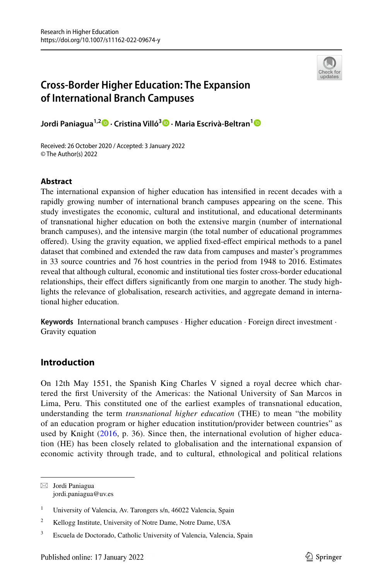

# **Cross‑Border Higher Education: The Expansion of International Branch Campuses**

**Jordi Paniagua1,2  [·](http://orcid.org/0000-0002-8859-0775) Cristina Villó[3](http://orcid.org/0000-0003-2540-3124) · Maria Escrivà‑Beltran[1](http://orcid.org/0000-0002-5850-4354)**

Received: 26 October 2020 / Accepted: 3 January 2022 © The Author(s) 2022

# **Abstract**

The international expansion of higher education has intensifed in recent decades with a rapidly growing number of international branch campuses appearing on the scene. This study investigates the economic, cultural and institutional, and educational determinants of transnational higher education on both the extensive margin (number of international branch campuses), and the intensive margin (the total number of educational programmes offered). Using the gravity equation, we applied fixed-effect empirical methods to a panel dataset that combined and extended the raw data from campuses and master's programmes in 33 source countries and 76 host countries in the period from 1948 to 2016. Estimates reveal that although cultural, economic and institutional ties foster cross-border educational relationships, their efect difers signifcantly from one margin to another. The study highlights the relevance of globalisation, research activities, and aggregate demand in international higher education.

**Keywords** International branch campuses · Higher education · Foreign direct investment · Gravity equation

# **Introduction**

On 12th May 1551, the Spanish King Charles V signed a royal decree which chartered the frst University of the Americas: the National University of San Marcos in Lima, Peru. This constituted one of the earliest examples of transnational education, understanding the term *transnational higher education* (THE) to mean "the mobility of an education program or higher education institution/provider between countries" as used by Knight ([2016](#page-19-0), p. 36). Since then, the international evolution of higher education (HE) has been closely related to globalisation and the international expansion of economic activity through trade, and to cultural, ethnological and political relations

 $\boxtimes$  Jordi Paniagua jordi.paniagua@uv.es

<sup>&</sup>lt;sup>1</sup> University of Valencia, Av. Tarongers s/n, 46022 Valencia, Spain

<sup>&</sup>lt;sup>2</sup> Kellogg Institute, University of Notre Dame, Notre Dame, USA

<sup>&</sup>lt;sup>3</sup> Escuela de Doctorado, Catholic University of Valencia, Valencia, Spain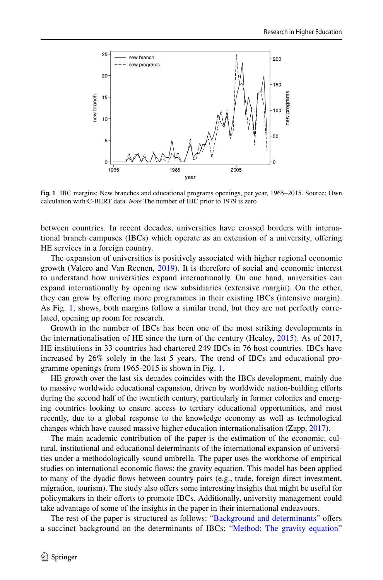

<span id="page-1-0"></span>**Fig. 1** IBC margins: New branches and educational programs openings, per year, 1965–2015. Source: Own calculation with C-BERT data. *Note* The number of IBC prior to 1979 is zero

between countries. In recent decades, universities have crossed borders with international branch campuses (IBCs) which operate as an extension of a university, ofering HE services in a foreign country.

The expansion of universities is positively associated with higher regional economic growth (Valero and Van Reenen, [2019\)](#page-19-1). It is therefore of social and economic interest to understand how universities expand internationally. On one hand, universities can expand internationally by opening new subsidiaries (extensive margin). On the other, they can grow by offering more programmes in their existing IBCs (intensive margin). As Fig. [1](#page-1-0), shows, both margins follow a similar trend, but they are not perfectly correlated, opening up room for research.

Growth in the number of IBCs has been one of the most striking developments in the internationalisation of HE since the turn of the century (Healey, [2015](#page-18-0)). As of 2017, HE institutions in 33 countries had chartered 249 IBCs in 76 host countries. IBCs have increased by 26% solely in the last 5 years. The trend of IBCs and educational programme openings from 1965-2015 is shown in Fig. [1](#page-1-0).

HE growth over the last six decades coincides with the IBCs development, mainly due to massive worldwide educational expansion, driven by worldwide nation-building eforts during the second half of the twentieth century, particularly in former colonies and emerging countries looking to ensure access to tertiary educational opportunities, and most recently, due to a global response to the knowledge economy as well as technological changes which have caused massive higher education internationalisation (Zapp, [2017\)](#page-20-0).

The main academic contribution of the paper is the estimation of the economic, cultural, institutional and educational determinants of the international expansion of universities under a methodologically sound umbrella. The paper uses the workhorse of empirical studies on international economic fows: the gravity equation. This model has been applied to many of the dyadic fows between country pairs (e.g., trade, foreign direct investment, migration, tourism). The study also offers some interesting insights that might be useful for policymakers in their eforts to promote IBCs. Additionally, university management could take advantage of some of the insights in the paper in their international endeavours.

The rest of the paper is structured as follows: ["Background and determinants](#page-2-0)" ofers a succinct background on the determinants of IBCs; ["Method: The gravity equation](#page-5-0)"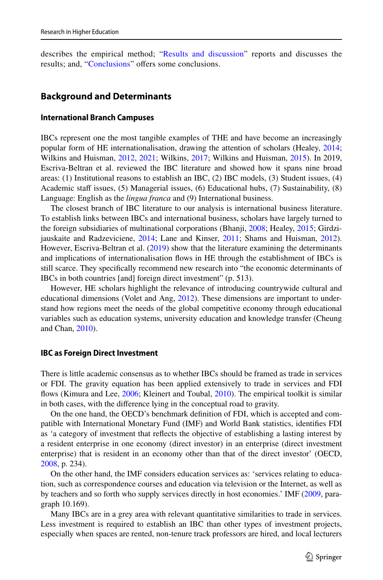describes the empirical method; ["Results and discussion](#page-9-0)" reports and discusses the results; and, ["Conclusions"](#page-16-0) offers some conclusions.

## <span id="page-2-0"></span>**Background and Determinants**

#### **International Branch Campuses**

IBCs represent one the most tangible examples of THE and have become an increasingly popular form of HE internationalisation, drawing the attention of scholars (Healey, [2014;](#page-18-1) Wilkins and Huisman, [2012,](#page-20-1) [2021;](#page-20-2) Wilkins, [2017;](#page-20-3) Wilkins and Huisman, [2015](#page-20-4)). In 2019, Escriva-Beltran et al. reviewed the IBC literature and showed how it spans nine broad areas: (1) Institutional reasons to establish an IBC, (2) IBC models, (3) Student issues, (4) Academic staf issues, (5) Managerial issues, (6) Educational hubs, (7) Sustainability, (8) Language: English as the *lingua franca* and (9) International business.

The closest branch of IBC literature to our analysis is international business literature. To establish links between IBCs and international business, scholars have largely turned to the foreign subsidiaries of multinational corporations (Bhanji, [2008;](#page-18-2) Healey, [2015;](#page-18-0) Girdzijauskaite and Radzeviciene, [2014;](#page-18-3) Lane and Kinser, [2011;](#page-19-2) Shams and Huisman, [2012](#page-19-3)). However, Escriva-Beltran et al. ([2019\)](#page-18-4) show that the literature examining the determinants and implications of internationalisation fows in HE through the establishment of IBCs is still scarce. They specifcally recommend new research into "the economic determinants of IBCs in both countries [and] foreign direct investment" (p. 513).

However, HE scholars highlight the relevance of introducing countrywide cultural and educational dimensions (Volet and Ang, [2012](#page-19-4)). These dimensions are important to understand how regions meet the needs of the global competitive economy through educational variables such as education systems, university education and knowledge transfer (Cheung and Chan, [2010\)](#page-18-5).

#### **IBC as Foreign Direct Investment**

There is little academic consensus as to whether IBCs should be framed as trade in services or FDI. The gravity equation has been applied extensively to trade in services and FDI flows (Kimura and Lee, [2006](#page-19-5); Kleinert and Toubal, [2010](#page-19-6)). The empirical toolkit is similar in both cases, with the diference lying in the conceptual road to gravity.

On the one hand, the OECD's benchmark defnition of FDI, which is accepted and compatible with International Monetary Fund (IMF) and World Bank statistics, identifes FDI as 'a category of investment that refects the objective of establishing a lasting interest by a resident enterprise in one economy (direct investor) in an enterprise (direct investment enterprise) that is resident in an economy other than that of the direct investor' (OECD, [2008,](#page-19-7) p. 234).

On the other hand, the IMF considers education services as: 'services relating to education, such as correspondence courses and education via television or the Internet, as well as by teachers and so forth who supply services directly in host economies.' IMF [\(2009](#page-19-8), paragraph 10.169).

Many IBCs are in a grey area with relevant quantitative similarities to trade in services. Less investment is required to establish an IBC than other types of investment projects, especially when spaces are rented, non-tenure track professors are hired, and local lecturers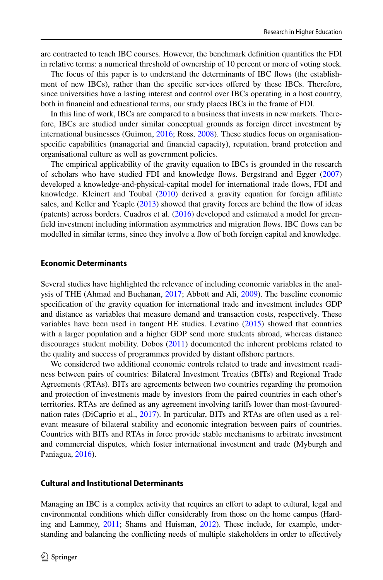are contracted to teach IBC courses. However, the benchmark defnition quantifes the FDI in relative terms: a numerical threshold of ownership of 10 percent or more of voting stock.

The focus of this paper is to understand the determinants of IBC fows (the establishment of new IBCs), rather than the specifc services ofered by these IBCs. Therefore, since universities have a lasting interest and control over IBCs operating in a host country, both in fnancial and educational terms, our study places IBCs in the frame of FDI.

In this line of work, IBCs are compared to a business that invests in new markets. Therefore, IBCs are studied under similar conceptual grounds as foreign direct investment by international businesses (Guimon, [2016](#page-18-6); Ross, [2008\)](#page-19-9). These studies focus on organisationspecifc capabilities (managerial and fnancial capacity), reputation, brand protection and organisational culture as well as government policies.

The empirical applicability of the gravity equation to IBCs is grounded in the research of scholars who have studied FDI and knowledge fows. Bergstrand and Egger [\(2007](#page-18-7)) developed a knowledge-and-physical-capital model for international trade fows, FDI and knowledge. Kleinert and Toubal  $(2010)$  $(2010)$  derived a gravity equation for foreign affiliate sales, and Keller and Yeaple [\(2013](#page-19-10)) showed that gravity forces are behind the fow of ideas (patents) across borders. Cuadros et al. ([2016\)](#page-18-8) developed and estimated a model for greenfeld investment including information asymmetries and migration fows. IBC fows can be modelled in similar terms, since they involve a fow of both foreign capital and knowledge.

### **Economic Determinants**

Several studies have highlighted the relevance of including economic variables in the anal-ysis of THE (Ahmad and Buchanan, [2017;](#page-17-0) Abbott and Ali, [2009\)](#page-17-1). The baseline economic specifcation of the gravity equation for international trade and investment includes GDP and distance as variables that measure demand and transaction costs, respectively. These variables have been used in tangent HE studies. Levatino [\(2015](#page-19-11)) showed that countries with a larger population and a higher GDP send more students abroad, whereas distance discourages student mobility. Dobos ([2011](#page-18-9)) documented the inherent problems related to the quality and success of programmes provided by distant ofshore partners.

We considered two additional economic controls related to trade and investment readiness between pairs of countries: Bilateral Investment Treaties (BITs) and Regional Trade Agreements (RTAs). BITs are agreements between two countries regarding the promotion and protection of investments made by investors from the paired countries in each other's territories. RTAs are defned as any agreement involving tarifs lower than most-favourednation rates (DiCaprio et al., [2017](#page-18-10)). In particular, BITs and RTAs are often used as a relevant measure of bilateral stability and economic integration between pairs of countries. Countries with BITs and RTAs in force provide stable mechanisms to arbitrate investment and commercial disputes, which foster international investment and trade (Myburgh and Paniagua, [2016](#page-19-12)).

## **Cultural and Institutional Determinants**

Managing an IBC is a complex activity that requires an efort to adapt to cultural, legal and environmental conditions which difer considerably from those on the home campus (Harding and Lammey, [2011](#page-18-11); Shams and Huisman, [2012](#page-19-3)). These include, for example, understanding and balancing the conficting needs of multiple stakeholders in order to efectively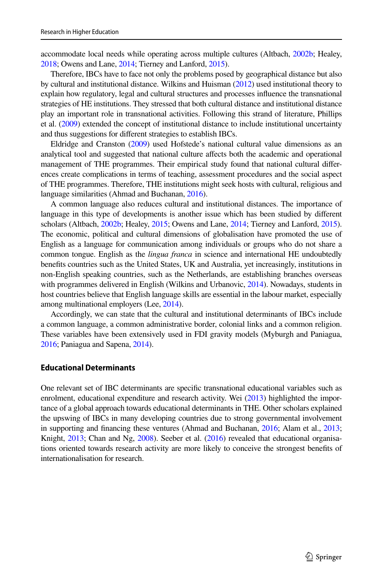accommodate local needs while operating across multiple cultures (Altbach, [2002b](#page-17-2); Healey, [2018](#page-18-12); Owens and Lane, [2014;](#page-19-13) Tierney and Lanford, [2015](#page-19-14)).

Therefore, IBCs have to face not only the problems posed by geographical distance but also by cultural and institutional distance. Wilkins and Huisman [\(2012\)](#page-20-1) used institutional theory to explain how regulatory, legal and cultural structures and processes infuence the transnational strategies of HE institutions. They stressed that both cultural distance and institutional distance play an important role in transnational activities. Following this strand of literature, Phillips et al. ([2009\)](#page-19-15) extended the concept of institutional distance to include institutional uncertainty and thus suggestions for diferent strategies to establish IBCs.

Eldridge and Cranston [\(2009\)](#page-18-13) used Hofstede's national cultural value dimensions as an analytical tool and suggested that national culture afects both the academic and operational management of THE programmes. Their empirical study found that national cultural diferences create complications in terms of teaching, assessment procedures and the social aspect of THE programmes. Therefore, THE institutions might seek hosts with cultural, religious and language similarities (Ahmad and Buchanan, [2016](#page-17-3)).

A common language also reduces cultural and institutional distances. The importance of language in this type of developments is another issue which has been studied by diferent scholars (Altbach, [2002b;](#page-17-2) Healey, [2015;](#page-18-0) Owens and Lane, [2014;](#page-19-13) Tierney and Lanford, [2015](#page-19-14)). The economic, political and cultural dimensions of globalisation have promoted the use of English as a language for communication among individuals or groups who do not share a common tongue. English as the *lingua franca* in science and international HE undoubtedly benefts countries such as the United States, UK and Australia, yet increasingly, institutions in non-English speaking countries, such as the Netherlands, are establishing branches overseas with programmes delivered in English (Wilkins and Urbanovic, [2014\)](#page-20-5). Nowadays, students in host countries believe that English language skills are essential in the labour market, especially among multinational employers (Lee, [2014](#page-19-16)).

Accordingly, we can state that the cultural and institutional determinants of IBCs include a common language, a common administrative border, colonial links and a common religion. These variables have been extensively used in FDI gravity models (Myburgh and Paniagua, [2016](#page-19-12); Paniagua and Sapena, [2014](#page-19-17)).

### **Educational Determinants**

One relevant set of IBC determinants are specifc transnational educational variables such as enrolment, educational expenditure and research activity. Wei ([2013](#page-20-6)) highlighted the importance of a global approach towards educational determinants in THE. Other scholars explained the upswing of IBCs in many developing countries due to strong governmental involvement in supporting and fnancing these ventures (Ahmad and Buchanan, [2016;](#page-17-3) Alam et al., [2013;](#page-17-4) Knight, [2013](#page-19-18); Chan and Ng, [2008](#page-18-14)). Seeber et al. ([2016](#page-19-19)) revealed that educational organisations oriented towards research activity are more likely to conceive the strongest benefts of internationalisation for research.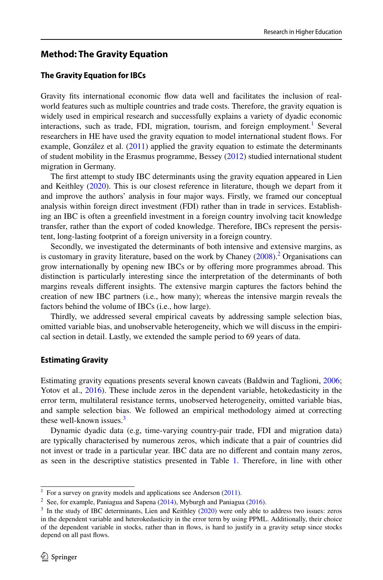# <span id="page-5-0"></span>**Method: The Gravity Equation**

### **The Gravity Equation for IBCs**

Gravity fts international economic fow data well and facilitates the inclusion of realworld features such as multiple countries and trade costs. Therefore, the gravity equation is widely used in empirical research and successfully explains a variety of dyadic economic interactions, such as trade, FDI, migration, tourism, and foreign employment.<sup>[1](#page-5-1)</sup> Several researchers in HE have used the gravity equation to model international student fows. For example, González et al.  $(2011)$  $(2011)$  applied the gravity equation to estimate the determinants of student mobility in the Erasmus programme, Bessey ([2012\)](#page-18-16) studied international student migration in Germany.

The frst attempt to study IBC determinants using the gravity equation appeared in Lien and Keithley ([2020\)](#page-19-20). This is our closest reference in literature, though we depart from it and improve the authors' analysis in four major ways. Firstly, we framed our conceptual analysis within foreign direct investment (FDI) rather than in trade in services. Establishing an IBC is often a greenfeld investment in a foreign country involving tacit knowledge transfer, rather than the export of coded knowledge. Therefore, IBCs represent the persistent, long-lasting footprint of a foreign university in a foreign country.

Secondly, we investigated the determinants of both intensive and extensive margins, as is customary in gravity literature, based on the work by Chaney [\(2008](#page-18-17)).<sup>[2](#page-5-2)</sup> Organisations can grow internationally by opening new IBCs or by ofering more programmes abroad. This distinction is particularly interesting since the interpretation of the determinants of both margins reveals diferent insights. The extensive margin captures the factors behind the creation of new IBC partners (i.e., how many); whereas the intensive margin reveals the factors behind the volume of IBCs (i.e., how large).

Thirdly, we addressed several empirical caveats by addressing sample selection bias, omitted variable bias, and unobservable heterogeneity, which we will discuss in the empirical section in detail. Lastly, we extended the sample period to 69 years of data.

### **Estimating Gravity**

Estimating gravity equations presents several known caveats (Baldwin and Taglioni, [2006;](#page-18-18) Yotov et al., [2016\)](#page-20-7). These include zeros in the dependent variable, hetokedasticity in the error term, multilateral resistance terms, unobserved heterogeneity, omitted variable bias, and sample selection bias. We followed an empirical methodology aimed at correcting these well-known issues.<sup>3</sup>

Dynamic dyadic data (e.g, time-varying country-pair trade, FDI and migration data) are typically characterised by numerous zeros, which indicate that a pair of countries did not invest or trade in a particular year. IBC data are no diferent and contain many zeros, as seen in the descriptive statistics presented in Table [1.](#page-6-0) Therefore, in line with other

<span id="page-5-1"></span><sup>&</sup>lt;sup>1</sup> For a survey on gravity models and applications see Anderson  $(2011)$  $(2011)$ .

<span id="page-5-2"></span><sup>&</sup>lt;sup>2</sup> See, for example, Paniagua and Sapena ( $2014$ ), Myburgh and Paniagua ( $2016$ ).

<span id="page-5-3"></span> $3\,$  In the study of IBC determinants, Lien and Keithley [\(2020](#page-19-20)) were only able to address two issues: zeros in the dependent variable and heterokedasticity in the error term by using PPML. Additionally, their choice of the dependent variable in stocks, rather than in fows, is hard to justify in a gravity setup since stocks depend on all past fows.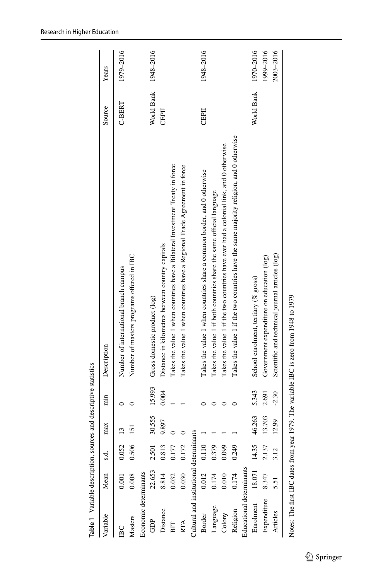| Table 1 Variable description, sources and descriptive statistics |        |       |                  |         |                                                                                         |              |           |
|------------------------------------------------------------------|--------|-------|------------------|---------|-----------------------------------------------------------------------------------------|--------------|-----------|
| Variable                                                         | Mean   | s.d.  | max              | min     | Description                                                                             | Source       | Years     |
| ШC                                                               | 0.001  | 0.052 | 13               |         | Number of international branch campus                                                   | C-BERT       | 1979-2016 |
| Masters                                                          | 0.008  | 0.506 | $\overline{151}$ |         | Number of masters programs offered in IBC                                               |              |           |
| Economic determinants                                            |        |       |                  |         |                                                                                         |              |           |
| GDP                                                              | 22.653 | 2.501 | 30.555           | 15.993  | Gross domestic product (log)                                                            | World Bank   | 1948-2016 |
| Distance                                                         | 8.814  | 0.813 | 9.897            | 0.004   | Distance in kilometres between country capitals                                         | <b>CEPII</b> |           |
|                                                                  | 0.032  | 0.177 | $\circ$          |         | Takes the value 1 when countries have a Bilateral Investment Treaty in force            |              |           |
| RTA                                                              | 0.030  | 0.172 | $\circ$          |         | Takes the value 1 when countries have a Regional Trade Agreement in force               |              |           |
| Cultural and institutional determinar                            |        |       | its              |         |                                                                                         |              |           |
| <b>Border</b>                                                    | 0.012  | 0.110 |                  |         | Takes the value 1 when countries share a common border, and 0 otherwise                 | CEPII        | 1948-2016 |
| Language                                                         | 0.174  | 0.379 |                  |         | Takes the value 1 if both countries share the same official language                    |              |           |
| Colony                                                           | 0.010  | 0.099 |                  |         | Takes the value 1 if the two countries have ever had a colonial link, and 0 otherwise   |              |           |
| Religion                                                         | 0.174  | 0.249 |                  |         | Takes the value 1 if the two countries have the same majority religion, and 0 otherwise |              |           |
| Educational determinants                                         |        |       |                  |         |                                                                                         |              |           |
| Enrolment                                                        | 18.071 | 14.35 | 46.263           | 5.343   | School enrolment, tertiary (% gross)                                                    | World Bank   | 1970-2016 |
| Expenditure                                                      | 8.347  | 2.137 | 13.703           | 2.691   | Government expenditure on education (log)                                               |              | 1999-2016 |
| Articles                                                         | 5.51   |       | 12.99            | $-2.30$ | Scientific and technical journal articles (log)                                         |              | 2003-2016 |
|                                                                  |        |       |                  |         | Notes: The first IBC dates from year 1979. The variable IBC is zero from 1948 to 1979   |              |           |

<span id="page-6-0"></span>

Research in Higher Education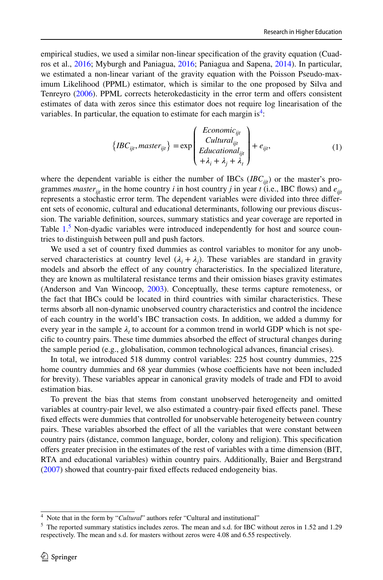empirical studies, we used a similar non-linear specifcation of the gravity equation (Cuadros et al., [2016](#page-18-8); Myburgh and Paniagua, [2016](#page-19-12); Paniagua and Sapena, [2014\)](#page-19-17). In particular, we estimated a non-linear variant of the gravity equation with the Poisson Pseudo-maximum Likelihood (PPML) estimator, which is similar to the one proposed by Silva and Tenreyro [\(2006](#page-19-21)). PPML corrects heterokedasticity in the error term and ofers consistent estimates of data with zeros since this estimator does not require log linearisation of the variables. In particular, the equation to estimate for each margin is $4$ :

$$
\{IBC_{ijt}, master_{ijt}\} = \exp\left(\begin{array}{c}Economic_{ijt} \\ Cultural_{ijt} \\ Educational_{ijt} \\ +\lambda_i + \lambda_j + \lambda_t\end{array}\right) + e_{ijt},\tag{1}
$$

where the dependent variable is either the number of IBCs  $($ *IBC* $)$ <sub>*iit*</sub> $)$  or the master's programmes *master<sub>ijt</sub>* in the home country *i* in host country *j* in year *t* (i.e., IBC flows) and  $e_{ijt}$ represents a stochastic error term. The dependent variables were divided into three diferent sets of economic, cultural and educational determinants, following our previous discussion. The variable defnition, sources, summary statistics and year coverage are reported in Table [1](#page-6-0).<sup>[5](#page-7-1)</sup> Non-dyadic variables were introduced independently for host and source countries to distinguish between pull and push factors.

We used a set of country fxed dummies as control variables to monitor for any unobserved characteristics at country level  $(\lambda_i + \lambda_j)$ . These variables are standard in gravity models and absorb the efect of any country characteristics. In the specialized literature, they are known as multilateral resistance terms and their omission biases gravity estimates (Anderson and Van Wincoop, [2003](#page-18-19)). Conceptually, these terms capture remoteness, or the fact that IBCs could be located in third countries with similar characteristics. These terms absorb all non-dynamic unobserved country characteristics and control the incidence of each country in the world's IBC transaction costs. In addition, we added a dummy for every year in the sample  $\lambda_t$  to account for a common trend in world GDP which is not specifc to country pairs. These time dummies absorbed the efect of structural changes during the sample period (e.g., globalisation, common technological advances, fnancial crises).

In total, we introduced 518 dummy control variables: 225 host country dummies, 225 home country dummies and 68 year dummies (whose coefficients have not been included for brevity). These variables appear in canonical gravity models of trade and FDI to avoid estimation bias.

To prevent the bias that stems from constant unobserved heterogeneity and omitted variables at country-pair level, we also estimated a country-pair fxed efects panel. These fixed effects were dummies that controlled for unobservable heterogeneity between country pairs. These variables absorbed the efect of all the variables that were constant between country pairs (distance, common language, border, colony and religion). This specifcation ofers greater precision in the estimates of the rest of variables with a time dimension (BIT, RTA and educational variables) within country pairs. Additionally, Baier and Bergstrand ([2007\)](#page-18-20) showed that country-pair fxed efects reduced endogeneity bias.

<span id="page-7-0"></span><sup>4</sup> Note that in the form by "*Cultural*" authors refer "Cultural and institutional"

<span id="page-7-1"></span><sup>5</sup> The reported summary statistics includes zeros. The mean and s.d. for IBC without zeros in 1.52 and 1.29 respectively. The mean and s.d. for masters without zeros were 4.08 and 6.55 respectively.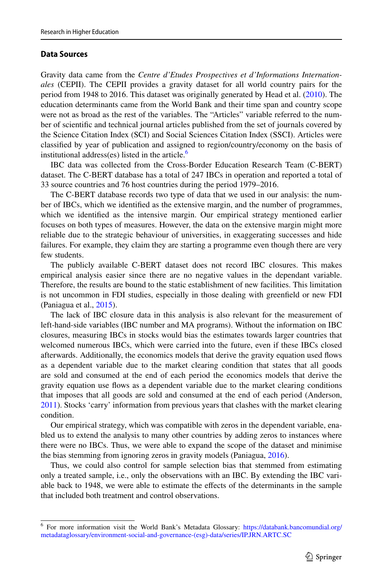### **Data Sources**

Gravity data came from the *Centre d'Etudes Prospectives et d'Informations Internationales* (CEPII). The CEPII provides a gravity dataset for all world country pairs for the period from 1948 to 2016. This dataset was originally generated by Head et al. ([2010\)](#page-18-21). The education determinants came from the World Bank and their time span and country scope were not as broad as the rest of the variables. The "Articles" variable referred to the number of scientifc and technical journal articles published from the set of journals covered by the Science Citation Index (SCI) and Social Sciences Citation Index (SSCI). Articles were classifed by year of publication and assigned to region/country/economy on the basis of institutional address(es) listed in the article. $\frac{6}{5}$  $\frac{6}{5}$  $\frac{6}{5}$ 

IBC data was collected from the Cross-Border Education Research Team (C-BERT) dataset. The C-BERT database has a total of 247 IBCs in operation and reported a total of 33 source countries and 76 host countries during the period 1979–2016.

The C-BERT database records two type of data that we used in our analysis: the number of IBCs, which we identifed as the extensive margin, and the number of programmes, which we identifed as the intensive margin. Our empirical strategy mentioned earlier focuses on both types of measures. However, the data on the extensive margin might more reliable due to the strategic behaviour of universities, in exaggerating successes and hide failures. For example, they claim they are starting a programme even though there are very few students.

The publicly available C-BERT dataset does not record IBC closures. This makes empirical analysis easier since there are no negative values in the dependant variable. Therefore, the results are bound to the static establishment of new facilities. This limitation is not uncommon in FDI studies, especially in those dealing with greenfeld or new FDI (Paniagua et al., [2015](#page-19-22)).

The lack of IBC closure data in this analysis is also relevant for the measurement of left-hand-side variables (IBC number and MA programs). Without the information on IBC closures, measuring IBCs in stocks would bias the estimates towards larger countries that welcomed numerous IBCs, which were carried into the future, even if these IBCs closed afterwards. Additionally, the economics models that derive the gravity equation used fows as a dependent variable due to the market clearing condition that states that all goods are sold and consumed at the end of each period the economics models that derive the gravity equation use fows as a dependent variable due to the market clearing conditions that imposes that all goods are sold and consumed at the end of each period (Anderson, [2011\)](#page-17-5). Stocks 'carry' information from previous years that clashes with the market clearing condition.

Our empirical strategy, which was compatible with zeros in the dependent variable, enabled us to extend the analysis to many other countries by adding zeros to instances where there were no IBCs. Thus, we were able to expand the scope of the dataset and minimise the bias stemming from ignoring zeros in gravity models (Paniagua, [2016](#page-19-23)).

Thus, we could also control for sample selection bias that stemmed from estimating only a treated sample, i.e., only the observations with an IBC. By extending the IBC variable back to 1948, we were able to estimate the efects of the determinants in the sample that included both treatment and control observations.

<span id="page-8-0"></span> $6$  For more information visit the World Bank's Metadata Glossary: [https://databank.bancomundial.org/](https://databank.bancomundial.org/metadataglossary/environment-social-and-governance-%28esg%29-data/series/IP.JRN.ARTC.SC) [metadataglossary/environment-social-and-governance-\(esg\)-data/series/IP.JRN.ARTC.SC](https://databank.bancomundial.org/metadataglossary/environment-social-and-governance-%28esg%29-data/series/IP.JRN.ARTC.SC)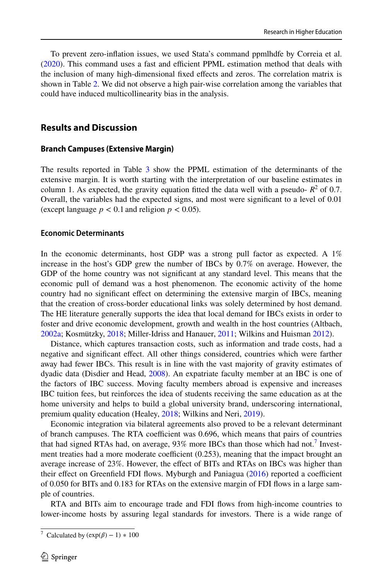To prevent zero-infation issues, we used Stata's command ppmlhdfe by Correia et al.  $(2020)$  $(2020)$ . This command uses a fast and efficient PPML estimation method that deals with the inclusion of many high-dimensional fxed efects and zeros. The correlation matrix is shown in Table [2.](#page-10-0) We did not observe a high pair-wise correlation among the variables that could have induced multicollinearity bias in the analysis.

# <span id="page-9-0"></span>**Results and Discussion**

### **Branch Campuses (Extensive Margin)**

The results reported in Table [3](#page-11-0) show the PPML estimation of the determinants of the extensive margin. It is worth starting with the interpretation of our baseline estimates in column 1. As expected, the gravity equation fitted the data well with a pseudo- $R^2$  of 0.7. Overall, the variables had the expected signs, and most were signifcant to a level of 0.01 (except language  $p < 0.1$  and religion  $p < 0.05$ ).

### **Economic Determinants**

In the economic determinants, host GDP was a strong pull factor as expected. A 1% increase in the host's GDP grew the number of IBCs by 0.7% on average. However, the GDP of the home country was not significant at any standard level. This means that the economic pull of demand was a host phenomenon. The economic activity of the home country had no signifcant efect on determining the extensive margin of IBCs, meaning that the creation of cross-border educational links was solely determined by host demand. The HE literature generally supports the idea that local demand for IBCs exists in order to foster and drive economic development, growth and wealth in the host countries (Altbach, [2002a;](#page-17-6) Kosmützky, [2018;](#page-19-24) Miller-Idriss and Hanauer, [2011](#page-19-25); Wilkins and Huisman [2012](#page-20-1)).

Distance, which captures transaction costs, such as information and trade costs, had a negative and signifcant efect. All other things considered, countries which were farther away had fewer IBCs. This result is in line with the vast majority of gravity estimates of dyadic data (Disdier and Head, [2008\)](#page-18-23). An expatriate faculty member at an IBC is one of the factors of IBC success. Moving faculty members abroad is expensive and increases IBC tuition fees, but reinforces the idea of students receiving the same education as at the home university and helps to build a global university brand, underscoring international, premium quality education (Healey, [2018](#page-18-12); Wilkins and Neri, [2019\)](#page-20-8).

Economic integration via bilateral agreements also proved to be a relevant determinant of branch campuses. The RTA coefficient was 0.696, which means that pairs of countries that had signed RTAs had, on average,  $93\%$  more IBCs than those which had not.<sup>[7](#page-9-1)</sup> Investment treaties had a more moderate coefficient  $(0.253)$ , meaning that the impact brought an average increase of 23%. However, the efect of BITs and RTAs on IBCs was higher than their effect on Greenfield FDI flows. Myburgh and Paniagua ([2016\)](#page-19-12) reported a coefficient of 0.050 for BITs and 0.183 for RTAs on the extensive margin of FDI fows in a large sample of countries.

RTA and BITs aim to encourage trade and FDI fows from high-income countries to lower-income hosts by assuring legal standards for investors. There is a wide range of

<span id="page-9-1"></span><sup>&</sup>lt;sup>7</sup> Calculated by  $(\exp(\beta) - 1) * 100$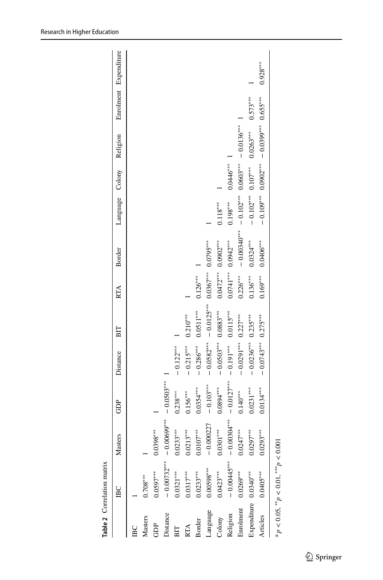|                                           | Table 2 Correlation matrix |               |              |                       |                                  |                      |               |                          |             |                                                 |            |                       |
|-------------------------------------------|----------------------------|---------------|--------------|-----------------------|----------------------------------|----------------------|---------------|--------------------------|-------------|-------------------------------------------------|------------|-----------------------|
|                                           | $\Xi$                      | Masters       | à            | Distance              | BIT                              | RTA                  | Border        | Language Colony Religion |             |                                                 |            | Enrolment Expenditure |
| BC                                        |                            |               |              |                       |                                  |                      |               |                          |             |                                                 |            |                       |
| Masters                                   | $0.708***$                 |               |              |                       |                                  |                      |               |                          |             |                                                 |            |                       |
| GDP                                       | $0.0597***$                | $0.0398***$   |              |                       |                                  |                      |               |                          |             |                                                 |            |                       |
| Distance                                  | $-0.00732***$              | $-0.00699***$ | $-0.0503***$ |                       |                                  |                      |               |                          |             |                                                 |            |                       |
| BTB                                       | $0.0321***$                | $0.0233***$   | $0.238***$   | $-0.122***$           |                                  |                      |               |                          |             |                                                 |            |                       |
| RTA                                       | $0.0317***$                | $0.0213***$   | $0.156***$   | $-0.215***$           | $0.210***$                       |                      |               |                          |             |                                                 |            |                       |
| <b>B</b> order                            | $0.0233***$                | $0.0107***$   | $0.0354***$  | $-0.286***$           | $0.0511***$                      | $0.126***$           |               |                          |             |                                                 |            |                       |
| Language                                  | $0.00598^{\ast\ast\ast}$   | $-0.000227$   | $-0.103***$  | $-0.0582***$          | $-0.0125***$ 0.0367*** 0.0795*** |                      |               |                          |             |                                                 |            |                       |
| Colony                                    | $0.0423***$                | $0.0301***$   | $0.0894***$  | $-0.0503***0.0883***$ |                                  | $0.0472***0.0902***$ |               | $0.118***$               |             |                                                 |            |                       |
| Religion                                  | $-0.00445***$              | $-0.00304***$ | $-0.0127***$ | $-0.191***$           | $0.0115***$                      | $0.0741***$          | $0.0942***$   | $0.198***$               | $0.0446***$ |                                                 |            |                       |
| Enrolment                                 | $0.0269***$                | $0.0247***$   | $0.140***$   | $-0.0291***$ 0.227*** |                                  | $0.226***$           | $-0.00340***$ | $-0.102***0.0603***$     |             | $-0.0136***$ 1                                  |            |                       |
| Expenditure 0.0340***                     |                            | $0.0297***$   | $0.0231***$  | $-0.0236***$ 0.235*** |                                  | $0.136***$           | $0.0324***$   | $-0.102***0.107***$      |             | $0.0263***$                                     | $0.573***$ |                       |
| Articles                                  | $0.0405***$                | $0.0293***$   | $0.0134***$  | $-0.0743***$ 0.275*** |                                  | $0.169***$           | $0.0406***$   |                          |             | $-0.109***$ $0.0902***$ $-0.0399***$ $0.655***$ |            | $0.928***$            |
| $\frac{d\omega}{dt} = \frac{d\omega}{dt}$ |                            | i<br>C        |              |                       |                                  |                      |               |                          |             |                                                 |            |                       |

<span id="page-10-0"></span> $*_P<0.05, **_P<0.01,***_P<0.001$ \**p <* 0.05, ∗∗*p <* 0.01, ∗∗∗*p <* 0.001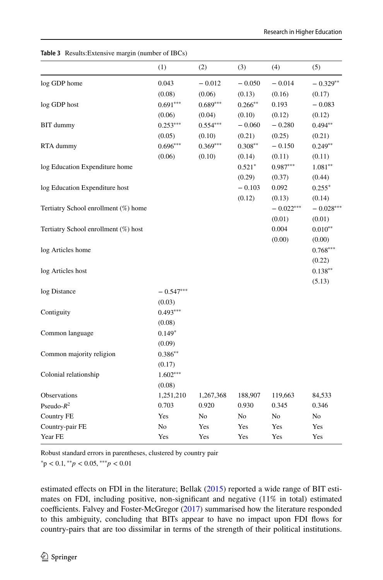|                                      | (1)         | (2)        | (3)       | (4)         | (5)         |
|--------------------------------------|-------------|------------|-----------|-------------|-------------|
| log GDP home                         | 0.043       | $-0.012$   | $-0.050$  | $-0.014$    | $-0.329**$  |
|                                      | (0.08)      | (0.06)     | (0.13)    | (0.16)      | (0.17)      |
| log GDP host                         | $0.691***$  | $0.689***$ | $0.266**$ | 0.193       | $-0.083$    |
|                                      | (0.06)      | (0.04)     | (0.10)    | (0.12)      | (0.12)      |
| <b>BIT</b> dummy                     | $0.253***$  | $0.554***$ | $-0.060$  | $-0.280$    | $0.494**$   |
|                                      | (0.05)      | (0.10)     | (0.21)    | (0.25)      | (0.21)      |
| RTA dummy                            | $0.696***$  | $0.369***$ | $0.308**$ | $-0.150$    | $0.249**$   |
|                                      | (0.06)      | (0.10)     | (0.14)    | (0.11)      | (0.11)      |
| log Education Expenditure home       |             |            | $0.521*$  | $0.987***$  | $1.081**$   |
|                                      |             |            | (0.29)    | (0.37)      | (0.44)      |
| log Education Expenditure host       |             |            | $-0.103$  | 0.092       | $0.255*$    |
|                                      |             |            | (0.12)    | (0.13)      | (0.14)      |
| Tertiatry School enrollment (%) home |             |            |           | $-0.022***$ | $-0.028***$ |
|                                      |             |            |           | (0.01)      | (0.01)      |
| Tertiatry School enrollment (%) host |             |            |           | 0.004       | $0.010**$   |
|                                      |             |            |           | (0.00)      | (0.00)      |
| log Articles home                    |             |            |           |             | $0.768***$  |
|                                      |             |            |           |             | (0.22)      |
| log Articles host                    |             |            |           |             | $0.138**$   |
|                                      |             |            |           |             | (5.13)      |
| log Distance                         | $-0.547***$ |            |           |             |             |
|                                      | (0.03)      |            |           |             |             |
| Contiguity                           | $0.493***$  |            |           |             |             |
|                                      | (0.08)      |            |           |             |             |
| Common language                      | $0.149*$    |            |           |             |             |
|                                      | (0.09)      |            |           |             |             |
| Common majority religion             | $0.386**$   |            |           |             |             |
|                                      | (0.17)      |            |           |             |             |
| Colonial relationship                | $1.602***$  |            |           |             |             |
|                                      | (0.08)      |            |           |             |             |
| Observations                         | 1,251,210   | 1,267,368  | 188,907   | 119,663     | 84,533      |
| Pseudo- $R^2$                        | 0.703       | 0.920      | 0.930     | 0.345       | 0.346       |
| Country FE                           | Yes         | No         | No        | No          | No          |
| Country-pair FE                      | No          | Yes        | Yes       | Yes         | Yes         |
| Year FE                              | Yes         | Yes        | Yes       | Yes         | Yes         |

<span id="page-11-0"></span>**Table 3** Results:Extensive margin (number of IBCs)

Robust standard errors in parentheses, clustered by country pair

∗ p *<* 0.1, ∗∗*p <* 0.05, ∗∗∗*p <* 0.01

estimated effects on FDI in the literature; Bellak [\(2015](#page-18-24)) reported a wide range of BIT estimates on FDI, including positive, non-signifcant and negative (11% in total) estimated coefficients. Falvey and Foster-McGregor  $(2017)$  $(2017)$  summarised how the literature responded to this ambiguity, concluding that BITs appear to have no impact upon FDI fows for country-pairs that are too dissimilar in terms of the strength of their political institutions.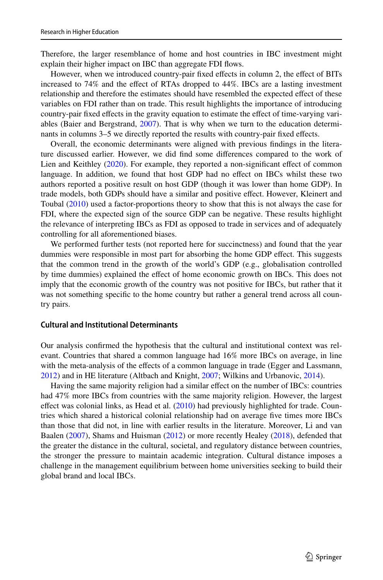Therefore, the larger resemblance of home and host countries in IBC investment might explain their higher impact on IBC than aggregate FDI flows.

However, when we introduced country-pair fixed effects in column 2, the effect of BITs increased to 74% and the efect of RTAs dropped to 44%. IBCs are a lasting investment relationship and therefore the estimates should have resembled the expected efect of these variables on FDI rather than on trade. This result highlights the importance of introducing country-pair fxed efects in the gravity equation to estimate the efect of time-varying variables (Baier and Bergstrand, [2007\)](#page-18-20). That is why when we turn to the education determinants in columns 3–5 we directly reported the results with country-pair fxed efects.

Overall, the economic determinants were aligned with previous fndings in the literature discussed earlier. However, we did fnd some diferences compared to the work of Lien and Keithley [\(2020](#page-19-20)). For example, they reported a non-signifcant efect of common language. In addition, we found that host GDP had no efect on IBCs whilst these two authors reported a positive result on host GDP (though it was lower than home GDP). In trade models, both GDPs should have a similar and positive efect. However, Kleinert and Toubal [\(2010](#page-19-6)) used a factor-proportions theory to show that this is not always the case for FDI, where the expected sign of the source GDP can be negative. These results highlight the relevance of interpreting IBCs as FDI as opposed to trade in services and of adequately controlling for all aforementioned biases.

We performed further tests (not reported here for succinctness) and found that the year dummies were responsible in most part for absorbing the home GDP efect. This suggests that the common trend in the growth of the world's GDP (e.g., globalisation controlled by time dummies) explained the efect of home economic growth on IBCs. This does not imply that the economic growth of the country was not positive for IBCs, but rather that it was not something specifc to the home country but rather a general trend across all country pairs.

### **Cultural and Institutional Determinants**

Our analysis confrmed the hypothesis that the cultural and institutional context was relevant. Countries that shared a common language had 16% more IBCs on average, in line with the meta-analysis of the efects of a common language in trade (Egger and Lassmann, [2012\)](#page-18-26) and in HE literature (Altbach and Knight, [2007;](#page-17-7) Wilkins and Urbanovic, [2014\)](#page-20-5).

Having the same majority religion had a similar efect on the number of IBCs: countries had 47% more IBCs from countries with the same majority religion. However, the largest efect was colonial links, as Head et al. [\(2010](#page-18-21)) had previously highlighted for trade. Countries which shared a historical colonial relationship had on average fve times more IBCs than those that did not, in line with earlier results in the literature. Moreover, Li and van Baalen ([2007\)](#page-19-26), Shams and Huisman ([2012\)](#page-19-3) or more recently Healey ([2018\)](#page-18-12), defended that the greater the distance in the cultural, societal, and regulatory distance between countries, the stronger the pressure to maintain academic integration. Cultural distance imposes a challenge in the management equilibrium between home universities seeking to build their global brand and local IBCs.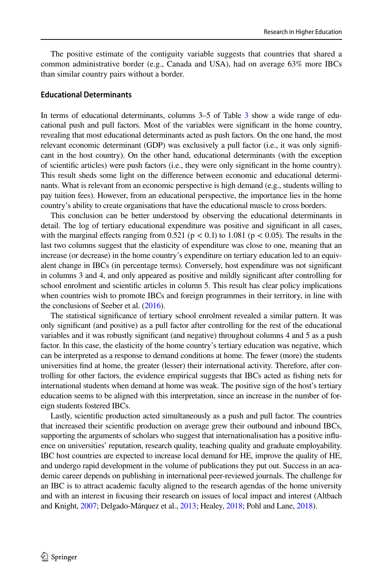The positive estimate of the contiguity variable suggests that countries that shared a common administrative border (e.g., Canada and USA), had on average 63% more IBCs than similar country pairs without a border.

#### **Educational Determinants**

In terms of educational determinants, columns [3](#page-11-0)–5 of Table 3 show a wide range of educational push and pull factors. Most of the variables were signifcant in the home country, revealing that most educational determinants acted as push factors. On the one hand, the most relevant economic determinant (GDP) was exclusively a pull factor (i.e., it was only signifcant in the host country). On the other hand, educational determinants (with the exception of scientifc articles) were push factors (i.e., they were only signifcant in the home country). This result sheds some light on the diference between economic and educational determinants. What is relevant from an economic perspective is high demand (e.g., students willing to pay tuition fees). However, from an educational perspective, the importance lies in the home country's ability to create organisations that have the educational muscle to cross borders.

This conclusion can be better understood by observing the educational determinants in detail. The log of tertiary educational expenditure was positive and signifcant in all cases, with the marginal effects ranging from  $0.521$  ( $p < 0.1$ ) to  $1.081$  ( $p < 0.05$ ). The results in the last two columns suggest that the elasticity of expenditure was close to one, meaning that an increase (or decrease) in the home country's expenditure on tertiary education led to an equivalent change in IBCs (in percentage terms). Conversely, host expenditure was not signifcant in columns 3 and 4, and only appeared as positive and mildly signifcant after controlling for school enrolment and scientifc articles in column 5. This result has clear policy implications when countries wish to promote IBCs and foreign programmes in their territory, in line with the conclusions of Seeber et al. [\(2016](#page-19-19)).

The statistical signifcance of tertiary school enrolment revealed a similar pattern. It was only signifcant (and positive) as a pull factor after controlling for the rest of the educational variables and it was robustly signifcant (and negative) throughout columns 4 and 5 as a push factor. In this case, the elasticity of the home country's tertiary education was negative, which can be interpreted as a response to demand conditions at home. The fewer (more) the students universities fnd at home, the greater (lesser) their international activity. Therefore, after controlling for other factors, the evidence empirical suggests that IBCs acted as fshing nets for international students when demand at home was weak. The positive sign of the host's tertiary education seems to be aligned with this interpretation, since an increase in the number of foreign students fostered IBCs.

Lastly, scientifc production acted simultaneously as a push and pull factor. The countries that increased their scientifc production on average grew their outbound and inbound IBCs, supporting the arguments of scholars who suggest that internationalisation has a positive infuence on universities' reputation, research quality, teaching quality and graduate employability. IBC host countries are expected to increase local demand for HE, improve the quality of HE, and undergo rapid development in the volume of publications they put out. Success in an academic career depends on publishing in international peer-reviewed journals. The challenge for an IBC is to attract academic faculty aligned to the research agendas of the home university and with an interest in focusing their research on issues of local impact and interest (Altbach and Knight, [2007;](#page-17-7) Delgado-Márquez et al., [2013](#page-18-27); Healey, [2018](#page-18-12); Pohl and Lane, [2018](#page-19-27)).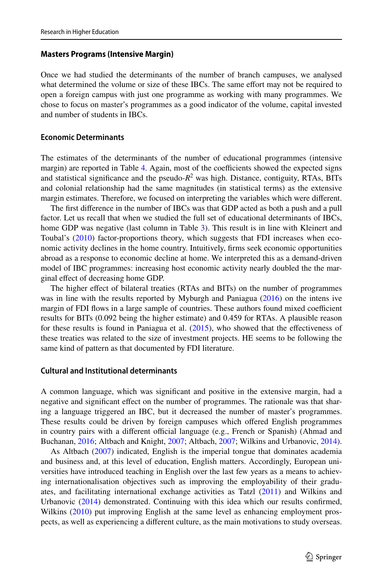#### **Masters Programs (Intensive Margin)**

Once we had studied the determinants of the number of branch campuses, we analysed what determined the volume or size of these IBCs. The same effort may not be required to open a foreign campus with just one programme as working with many programmes. We chose to focus on master's programmes as a good indicator of the volume, capital invested and number of students in IBCs.

### **Economic Determinants**

The estimates of the determinants of the number of educational programmes (intensive margin) are reported in Table [4.](#page-15-0) Again, most of the coefficients showed the expected signs and statistical significance and the pseudo- $R^2$  was high. Distance, contiguity, RTAs, BITs and colonial relationship had the same magnitudes (in statistical terms) as the extensive margin estimates. Therefore, we focused on interpreting the variables which were diferent.

The frst diference in the number of IBCs was that GDP acted as both a push and a pull factor. Let us recall that when we studied the full set of educational determinants of IBCs, home GDP was negative (last column in Table [3](#page-11-0)). This result is in line with Kleinert and Toubal's ([2010\)](#page-19-6) factor-proportions theory, which suggests that FDI increases when economic activity declines in the home country. Intuitively, frms seek economic opportunities abroad as a response to economic decline at home. We interpreted this as a demand-driven model of IBC programmes: increasing host economic activity nearly doubled the the marginal efect of decreasing home GDP.

The higher efect of bilateral treaties (RTAs and BITs) on the number of programmes was in line with the results reported by Myburgh and Paniagua ([2016\)](#page-19-12) on the intens ive margin of FDI flows in a large sample of countries. These authors found mixed coefficient results for BITs (0.092 being the higher estimate) and 0.459 for RTAs. A plausible reason for these results is found in Paniagua et al. ([2015\)](#page-19-22), who showed that the efectiveness of these treaties was related to the size of investment projects. HE seems to be following the same kind of pattern as that documented by FDI literature.

### **Cultural and Institutional determinants**

A common language, which was signifcant and positive in the extensive margin, had a negative and signifcant efect on the number of programmes. The rationale was that sharing a language triggered an IBC, but it decreased the number of master's programmes. These results could be driven by foreign campuses which ofered English programmes in country pairs with a different official language (e.g., French or Spanish) (Ahmad and Buchanan, [2016](#page-17-3); Altbach and Knight, [2007;](#page-17-7) Altbach, [2007](#page-17-8); Wilkins and Urbanovic, [2014](#page-20-5)).

As Altbach ([2007\)](#page-17-8) indicated, English is the imperial tongue that dominates academia and business and, at this level of education, English matters. Accordingly, European universities have introduced teaching in English over the last few years as a means to achieving internationalisation objectives such as improving the employability of their graduates, and facilitating international exchange activities as Tatzl [\(2011](#page-19-28)) and Wilkins and Urbanovic [\(2014](#page-20-5)) demonstrated. Continuing with this idea which our results confrmed, Wilkins [\(2010](#page-20-9)) put improving English at the same level as enhancing employment prospects, as well as experiencing a diferent culture, as the main motivations to study overseas.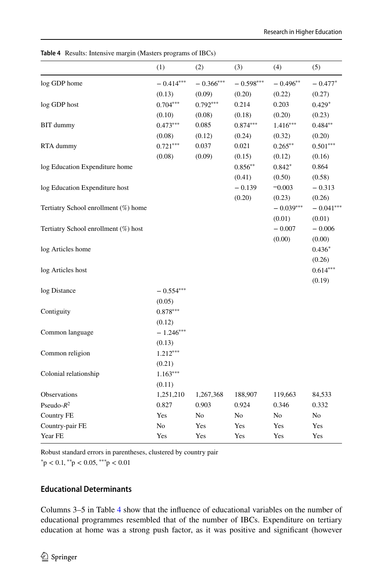|                                      | (1)         | (2)         | (3)         | (4)         | (5)         |
|--------------------------------------|-------------|-------------|-------------|-------------|-------------|
| log GDP home                         | $-0.414***$ | $-0.366***$ | $-0.598***$ | $-0.496**$  | $-0.477*$   |
|                                      | (0.13)      | (0.09)      | (0.20)      | (0.22)      | (0.27)      |
| log GDP host                         | $0.704***$  | $0.792***$  | 0.214       | 0.203       | $0.429*$    |
|                                      | (0.10)      | (0.08)      | (0.18)      | (0.20)      | (0.23)      |
| <b>BIT</b> dummy                     | $0.473***$  | 0.085       | $0.874***$  | $1.416***$  | $0.484**$   |
|                                      | (0.08)      | (0.12)      | (0.24)      | (0.32)      | (0.20)      |
| RTA dummy                            | $0.721***$  | 0.037       | 0.021       | $0.265***$  | $0.501***$  |
|                                      | (0.08)      | (0.09)      | (0.15)      | (0.12)      | (0.16)      |
| log Education Expenditure home       |             |             | $0.856**$   | $0.842*$    | 0.864       |
|                                      |             |             | (0.41)      | (0.50)      | (0.58)      |
| log Education Expenditure host       |             |             | $-0.139$    | $-0.003$    | $-0.313$    |
|                                      |             |             | (0.20)      | (0.23)      | (0.26)      |
| Tertiatry School enrollment (%) home |             |             |             | $-0.039***$ | $-0.041***$ |
|                                      |             |             |             | (0.01)      | (0.01)      |
| Tertiatry School enrollment (%) host |             |             |             | $-0.007$    | $-0.006$    |
|                                      |             |             |             | (0.00)      | (0.00)      |
| log Articles home                    |             |             |             |             | $0.436*$    |
|                                      |             |             |             |             | (0.26)      |
| log Articles host                    |             |             |             |             | $0.614***$  |
|                                      |             |             |             |             | (0.19)      |
| log Distance                         | $-0.554***$ |             |             |             |             |
|                                      | (0.05)      |             |             |             |             |
| Contiguity                           | $0.878***$  |             |             |             |             |
|                                      | (0.12)      |             |             |             |             |
| Common language                      | $-1.246***$ |             |             |             |             |
|                                      | (0.13)      |             |             |             |             |
| Common religion                      | $1.212***$  |             |             |             |             |
|                                      | (0.21)      |             |             |             |             |
| Colonial relationship                | $1.163***$  |             |             |             |             |
|                                      | (0.11)      |             |             |             |             |
| Observations                         | 1,251,210   | 1,267,368   | 188,907     | 119,663     | 84,533      |
| Pseudo- $R^2$                        | 0.827       | 0.903       | 0.924       | 0.346       | 0.332       |
| Country FE                           | Yes         | No          | No          | No          | No          |
| Country-pair FE                      | No          | Yes         | Yes         | Yes         | Yes         |
| Year FE                              | Yes         | Yes         | Yes         | Yes         | Yes         |

<span id="page-15-0"></span>**Table 4** Results: Intensive margin (Masters programs of IBCs)

Robust standard errors in parentheses, clustered by country pair

∗ p *<* 0.1, ∗∗p *<* 0.05, ∗∗∗p *<* 0.01

# **Educational Determinants**

Columns 3–5 in Table [4](#page-15-0) show that the infuence of educational variables on the number of educational programmes resembled that of the number of IBCs. Expenditure on tertiary education at home was a strong push factor, as it was positive and signifcant (however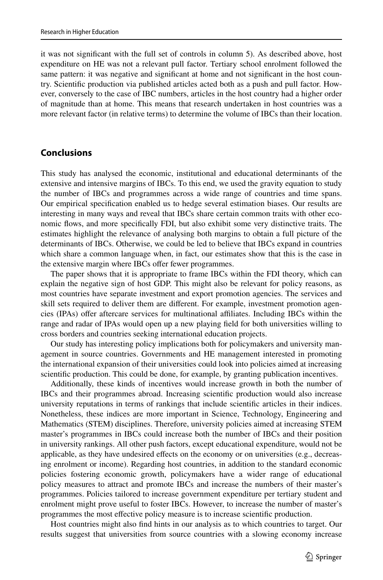it was not signifcant with the full set of controls in column 5). As described above, host expenditure on HE was not a relevant pull factor. Tertiary school enrolment followed the same pattern: it was negative and signifcant at home and not signifcant in the host country. Scientifc production via published articles acted both as a push and pull factor. However, conversely to the case of IBC numbers, articles in the host country had a higher order of magnitude than at home. This means that research undertaken in host countries was a more relevant factor (in relative terms) to determine the volume of IBCs than their location.

# <span id="page-16-0"></span>**Conclusions**

This study has analysed the economic, institutional and educational determinants of the extensive and intensive margins of IBCs. To this end, we used the gravity equation to study the number of IBCs and programmes across a wide range of countries and time spans. Our empirical specifcation enabled us to hedge several estimation biases. Our results are interesting in many ways and reveal that IBCs share certain common traits with other economic fows, and more specifcally FDI, but also exhibit some very distinctive traits. The estimates highlight the relevance of analysing both margins to obtain a full picture of the determinants of IBCs. Otherwise, we could be led to believe that IBCs expand in countries which share a common language when, in fact, our estimates show that this is the case in the extensive margin where IBCs offer fewer programmes.

The paper shows that it is appropriate to frame IBCs within the FDI theory, which can explain the negative sign of host GDP. This might also be relevant for policy reasons, as most countries have separate investment and export promotion agencies. The services and skill sets required to deliver them are diferent. For example, investment promotion agencies (IPAs) ofer aftercare services for multinational afliates. Including IBCs within the range and radar of IPAs would open up a new playing feld for both universities willing to cross borders and countries seeking international education projects.

Our study has interesting policy implications both for policymakers and university management in source countries. Governments and HE management interested in promoting the international expansion of their universities could look into policies aimed at increasing scientifc production. This could be done, for example, by granting publication incentives.

Additionally, these kinds of incentives would increase growth in both the number of IBCs and their programmes abroad. Increasing scientifc production would also increase university reputations in terms of rankings that include scientifc articles in their indices. Nonetheless, these indices are more important in Science, Technology, Engineering and Mathematics (STEM) disciplines. Therefore, university policies aimed at increasing STEM master's programmes in IBCs could increase both the number of IBCs and their position in university rankings. All other push factors, except educational expenditure, would not be applicable, as they have undesired efects on the economy or on universities (e.g., decreasing enrolment or income). Regarding host countries, in addition to the standard economic policies fostering economic growth, policymakers have a wider range of educational policy measures to attract and promote IBCs and increase the numbers of their master's programmes. Policies tailored to increase government expenditure per tertiary student and enrolment might prove useful to foster IBCs. However, to increase the number of master's programmes the most efective policy measure is to increase scientifc production.

Host countries might also fnd hints in our analysis as to which countries to target. Our results suggest that universities from source countries with a slowing economy increase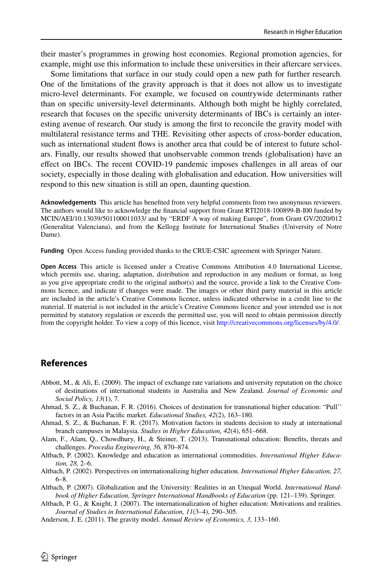their master's programmes in growing host economies. Regional promotion agencies, for example, might use this information to include these universities in their aftercare services.

Some limitations that surface in our study could open a new path for further research. One of the limitations of the gravity approach is that it does not allow us to investigate micro-level determinants. For example, we focused on countrywide determinants rather than on specifc university-level determinants. Although both might be highly correlated, research that focuses on the specifc university determinants of IBCs is certainly an interesting avenue of research. Our study is among the frst to reconcile the gravity model with multilateral resistance terms and THE. Revisiting other aspects of cross-border education, such as international student fows is another area that could be of interest to future scholars. Finally, our results showed that unobservable common trends (globalisation) have an efect on IBCs. The recent COVID-19 pandemic imposes challenges in all areas of our society, especially in those dealing with globalisation and education. How universities will respond to this new situation is still an open, daunting question.

**Acknowledgements** This article has benefted from very helpful comments from two anonymous reviewers. The authors would like to acknowledge the fnancial support from Grant RTI2018-100899-B-I00 funded by MCIN/AEI/10.13039/501100011033/ and by "ERDF A way of making Europe", from Grant GV/2020/012 (Generalitat Valenciana), and from the Kellogg Institute for International Studies (University of Notre Dame).

**Funding** Open Access funding provided thanks to the CRUE-CSIC agreement with Springer Nature.

**Open Access** This article is licensed under a Creative Commons Attribution 4.0 International License, which permits use, sharing, adaptation, distribution and reproduction in any medium or format, as long as you give appropriate credit to the original author(s) and the source, provide a link to the Creative Commons licence, and indicate if changes were made. The images or other third party material in this article are included in the article's Creative Commons licence, unless indicated otherwise in a credit line to the material. If material is not included in the article's Creative Commons licence and your intended use is not permitted by statutory regulation or exceeds the permitted use, you will need to obtain permission directly from the copyright holder. To view a copy of this licence, visit [http://creativecommons.org/licenses/by/4.0/.](http://creativecommons.org/licenses/by/4.0/)

# **References**

- <span id="page-17-1"></span>Abbott, M., & Ali, E. (2009). The impact of exchange rate variations and university reputation on the choice of destinations of international students in Australia and New Zealand. *Journal of Economic and Social Policy, 13*(1), 7.
- <span id="page-17-3"></span>Ahmad, S. Z., & Buchanan, F. R. (2016). Choices of destination for transnational higher education: "Pull'' factors in an Asia Pacifc market. *Educational Studies, 42*(2), 163–180.
- <span id="page-17-0"></span>Ahmad, S. Z., & Buchanan, F. R. (2017). Motivation factors in students decision to study at international branch campuses in Malaysia. *Studies in Higher Education, 42*(4), 651–668.
- <span id="page-17-4"></span>Alam, F., Alam, Q., Chowdhury, H., & Steiner, T. (2013). Transnational education: Benefts, threats and challenges. *Procedia Engineering, 56,* 870–874.
- <span id="page-17-6"></span>Altbach, P. (2002). Knowledge and education as international commodities. *International Higher Education, 28,* 2–6.
- <span id="page-17-2"></span>Altbach, P. (2002). Perspectives on internationalizing higher education. *International Higher Education, 27,* 6–8.
- <span id="page-17-8"></span>Altbach, P. (2007). Globalization and the University: Realities in an Unequal World. *International Handbook of Higher Education, Springer International Handbooks of Education* (pp. 121–139). Springer.

<span id="page-17-7"></span>Altbach, P. G., & Knight, J. (2007). The internationalization of higher education: Motivations and realities. *Journal of Studies in International Education, 11*(3–4), 290–305.

<span id="page-17-5"></span>Anderson, J. E. (2011). The gravity model. *Annual Review of Economics, 3,* 133–160.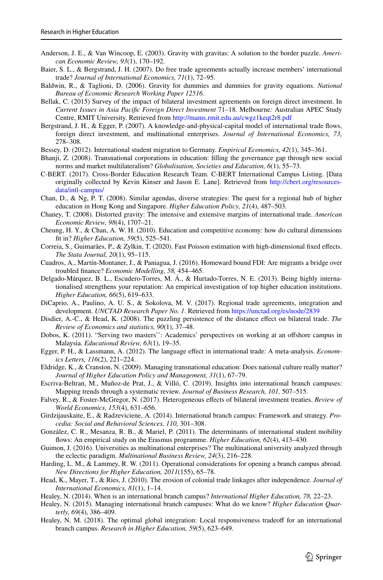- <span id="page-18-19"></span>Anderson, J. E., & Van Wincoop, E. (2003). Gravity with gravitas: A solution to the border puzzle. *American Economic Review, 93*(1), 170–192.
- <span id="page-18-20"></span>Baier, S. L., & Bergstrand, J. H. (2007). Do free trade agreements actually increase members' international trade? *Journal of International Economics, 71*(1), 72–95.
- <span id="page-18-18"></span>Baldwin, R., & Taglioni, D. (2006). Gravity for dummies and dummies for gravity equations. *National Bureau of Economic Research Working Paper 12516*.
- <span id="page-18-24"></span>Bellak, C. (2015) Survey of the impact of bilateral investment agreements on foreign direct investment. In *Current Issues in Asia Pacifc Foreign Direct Investment* 71–18*.* Melbourne*:* Australian APEC Study Centre, RMIT University. Retrieved from<http://mams.rmit.edu.au/cwgz1keqt2r8.pdf>
- <span id="page-18-7"></span>Bergstrand, J. H., & Egger, P. (2007). A knowledge-and-physical-capital model of international trade fows, foreign direct investment, and multinational enterprises. *Journal of International Economics, 73,* 278–308.
- <span id="page-18-16"></span>Bessey, D. (2012). International student migration to Germany. *Empirical Economics, 42*(1), 345–361.
- <span id="page-18-2"></span>Bhanji, Z. (2008). Transnational corporations in education: flling the governance gap through new social norms and market multilateralism? *Globalisation, Societies and Education, 6*(1), 55–73.
- C-BERT. (2017). Cross-Border Education Research Team. C-BERT International Campus Listing. [Data originally collected by Kevin Kinser and Jason E. Lane]. Retrieved from [http://cbert.org/resources](http://cbert.org/resources-data/intl-campus/)[data/intl-campus/](http://cbert.org/resources-data/intl-campus/)
- <span id="page-18-14"></span>Chan, D., & Ng, P. T. (2008). Similar agendas, diverse strategies: The quest for a regional hub of higher education in Hong Kong and Singapore. *Higher Education Policy, 21*(4), 487–503.
- <span id="page-18-17"></span>Chaney, T. (2008). Distorted gravity: The intensive and extensive margins of international trade. *American Economic Review, 98*(4), 1707–21.
- <span id="page-18-5"></span>Cheung, H. Y., & Chan, A. W. H. (2010). Education and competitive economy: how do cultural dimensions ft in? *Higher Education, 59*(5), 525–541.
- <span id="page-18-22"></span>Correia, S., Guimarães, P., & Zylkin, T. (2020). Fast Poisson estimation with high-dimensional fxed efects. *The Stata Journal, 20*(1), 95–115.
- <span id="page-18-8"></span>Cuadros, A., Martín-Montaner, J., & Paniagua, J. (2016). Homeward bound FDI: Are migrants a bridge over troubled fnance? *Economic Modelling, 58,* 454–465.
- <span id="page-18-27"></span>Delgado-Márquez, B. L., Escudero-Torres, M. Á., & Hurtado-Torres, N. E. (2013). Being highly internationalised strengthens your reputation: An empirical investigation of top higher education institutions. *Higher Education, 66*(5), 619–633.
- <span id="page-18-10"></span>DiCaprio, A., Paulino, A. U. S., & Sokolova, M. V. (2017). Regional trade agreements, integration and development. *UNCTAD Research Paper No. 1*. Retrieved from <https://unctad.org/es/node/2839>
- <span id="page-18-23"></span>Disdier, A.-C., & Head, K. (2008). The puzzling persistence of the distance efect on bilateral trade. *The Review of Economics and statistics, 90*(1), 37–48.
- <span id="page-18-9"></span>Dobos, K. (2011). "Serving two masters'': Academics' perspectives on working at an ofshore campus in Malaysia. *Educational Review, 63*(1), 19–35.
- <span id="page-18-26"></span>Egger, P. H., & Lassmann, A. (2012). The language efect in international trade: A meta-analysis. *Economics Letters, 116*(2), 221–224.
- <span id="page-18-13"></span>Eldridge, K., & Cranston, N. (2009). Managing transnational education: Does national culture really matter? *Journal of Higher Education Policy and Management, 31*(1), 67–79.
- <span id="page-18-4"></span>Escriva-Beltran, M., Muñoz-de Prat, J., & Villó, C. (2019). Insights into international branch campuses: Mapping trends through a systematic review. *Journal of Business Research, 101,* 507–515.
- <span id="page-18-25"></span>Falvey, R., & Foster-McGregor, N. (2017). Heterogeneous efects of bilateral investment treaties. *Review of World Economics, 153*(4), 631–656.
- <span id="page-18-3"></span>Girdzijauskaite, E., & Radzeviciene, A. (2014). International branch campus: Framework and strategy. *Procedia: Social and Behavioral Sciences, 110,* 301–308.
- <span id="page-18-15"></span>González, C. R., Mesanza, R. B., & Mariel, P. (2011). The determinants of international student mobility fows: An empirical study on the Erasmus programme. *Higher Education, 62*(4), 413–430.
- <span id="page-18-6"></span>Guimon, J. (2016). Universities as multinational enterprises? The multinational university analyzed through the eclectic paradigm. *Multinational Business Review, 24*(3), 216–228.
- <span id="page-18-11"></span>Harding, L. M., & Lammey, R. W. (2011). Operational considerations for opening a branch campus abroad. *New Directions for Higher Education, 2011*(155), 65–78.
- <span id="page-18-21"></span>Head, K., Mayer, T., & Ries, J. (2010). The erosion of colonial trade linkages after independence. *Journal of International Economics, 81*(1), 1–14.
- <span id="page-18-1"></span>Healey, N. (2014). When is an international branch campus? *International Higher Education, 78,* 22–23.
- <span id="page-18-0"></span>Healey, N. (2015). Managing international branch campuses: What do we know? *Higher Education Quarterly, 69*(4), 386–409.
- <span id="page-18-12"></span>Healey, N. M. (2018). The optimal global integration: Local responsiveness tradeoff for an international branch campus. *Research in Higher Education, 59*(5), 623–649.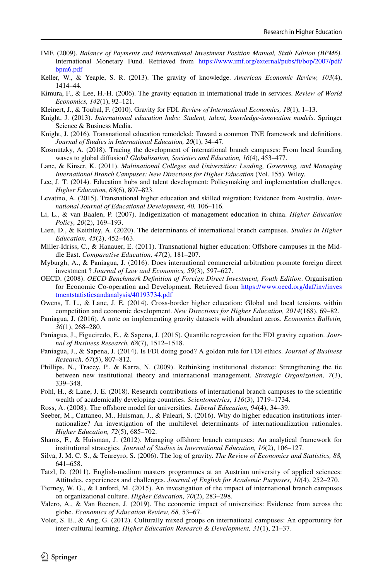- <span id="page-19-8"></span>IMF. (2009). *Balance of Payments and International Investment Position Manual, Sixth Edition (BPM6)*. International Monetary Fund. Retrieved from [https://www.imf.org/external/pubs/ft/bop/2007/pdf/](https://www.imf.org/external/pubs/ft/bop/2007/pdf/bpm6.pdf) [bpm6.pdf](https://www.imf.org/external/pubs/ft/bop/2007/pdf/bpm6.pdf)
- <span id="page-19-10"></span>Keller, W., & Yeaple, S. R. (2013). The gravity of knowledge. *American Economic Review, 103*(4), 1414–44.
- <span id="page-19-5"></span>Kimura, F., & Lee, H.-H. (2006). The gravity equation in international trade in services. *Review of World Economics, 142*(1), 92–121.
- <span id="page-19-6"></span>Kleinert, J., & Toubal, F. (2010). Gravity for FDI. *Review of International Economics, 18*(1), 1–13.
- <span id="page-19-18"></span>Knight, J. (2013). *International education hubs: Student, talent, knowledge-innovation models*. Springer Science & Business Media.
- <span id="page-19-0"></span>Knight, J. (2016). Transnational education remodeled: Toward a common TNE framework and defnitions. *Journal of Studies in International Education, 20*(1), 34–47.
- <span id="page-19-24"></span>Kosmützky, A. (2018). Tracing the development of international branch campuses: From local founding waves to global difusion? *Globalisation, Societies and Education, 16*(4), 453–477.
- <span id="page-19-2"></span>Lane, & Kinser, K. (2011). *Multinational Colleges and Universities: Leading, Governing, and Managing International Branch Campuses: New Directions for Higher Education* (Vol. 155). Wiley.
- <span id="page-19-16"></span>Lee, J. T. (2014). Education hubs and talent development: Policymaking and implementation challenges. *Higher Education, 68*(6), 807–823.
- <span id="page-19-11"></span>Levatino, A. (2015). Transnational higher education and skilled migration: Evidence from Australia. *International Journal of Educational Development, 40,* 106–116.
- <span id="page-19-26"></span>Li, L., & van Baalen, P. (2007). Indigenization of management education in china. *Higher Education Policy, 20*(2), 169–193.
- <span id="page-19-20"></span>Lien, D., & Keithley, A. (2020). The determinants of international branch campuses. *Studies in Higher Education, 45*(2), 452–463.
- <span id="page-19-25"></span>Miller-Idriss, C., & Hanauer, E. (2011). Transnational higher education: Ofshore campuses in the Middle East. *Comparative Education, 47*(2), 181–207.
- <span id="page-19-12"></span>Myburgh, A., & Paniagua, J. (2016). Does international commercial arbitration promote foreign direct investment ? *Journal of Law and Economics, 59*(3), 597–627.
- <span id="page-19-7"></span>OECD. (2008). *OECD Benchmark Defnition of Foreign Direct Investment, Fouth Edition*. Organisation for Economic Co-operation and Development. Retrieved from [https://www.oecd.org/daf/inv/inves](https://www.oecd.org/daf/inv/investmentstatisticsandanalysis/40193734.pdf) [tmentstatisticsandanalysis/40193734.pdf](https://www.oecd.org/daf/inv/investmentstatisticsandanalysis/40193734.pdf)
- <span id="page-19-13"></span>Owens, T. L., & Lane, J. E. (2014). Cross-border higher education: Global and local tensions within competition and economic development. *New Directions for Higher Education, 2014*(168), 69–82.
- <span id="page-19-23"></span>Paniagua, J. (2016). A note on implementing gravity datasets with abundant zeros. *Economics Bulletin, 36*(1), 268–280.
- <span id="page-19-22"></span>Paniagua, J., Figueiredo, E., & Sapena, J. (2015). Quantile regression for the FDI gravity equation. *Journal of Business Research, 68*(7), 1512–1518.
- <span id="page-19-17"></span>Paniagua, J., & Sapena, J. (2014). Is FDI doing good? A golden rule for FDI ethics. *Journal of Business Research, 67*(5), 807–812.
- <span id="page-19-15"></span>Phillips, N., Tracey, P., & Karra, N. (2009). Rethinking institutional distance: Strengthening the tie between new institutional theory and international management. *Strategic Organization, 7*(3), 339–348.
- <span id="page-19-27"></span>Pohl, H., & Lane, J. E. (2018). Research contributions of international branch campuses to the scientifc wealth of academically developing countries. *Scientometrics, 116*(3), 1719–1734.
- <span id="page-19-9"></span>Ross, A. (2008). The ofshore model for universities. *Liberal Education, 94*(4), 34–39.
- <span id="page-19-19"></span>Seeber, M., Cattaneo, M., Huisman, J., & Paleari, S. (2016). Why do higher education institutions internationalize? An investigation of the multilevel determinants of internationalization rationales. *Higher Education, 72*(5), 685–702.
- <span id="page-19-3"></span>Shams, F., & Huisman, J. (2012). Managing ofshore branch campuses: An analytical framework for institutional strategies. *Journal of Studies in International Education, 16*(2), 106–127.
- <span id="page-19-21"></span>Silva, J. M. C. S., & Tenreyro, S. (2006). The log of gravity. *The Review of Economics and Statistics, 88,* 641–658.
- <span id="page-19-28"></span>Tatzl, D. (2011). English-medium masters programmes at an Austrian university of applied sciences: Attitudes, experiences and challenges. *Journal of English for Academic Purposes, 10*(4), 252–270.
- <span id="page-19-14"></span>Tierney, W. G., & Lanford, M. (2015). An investigation of the impact of international branch campuses on organizational culture. *Higher Education, 70*(2), 283–298.
- <span id="page-19-1"></span>Valero, A., & Van Reenen, J. (2019). The economic impact of universities: Evidence from across the globe. *Economics of Education Review, 68,* 53–67.
- <span id="page-19-4"></span>Volet, S. E., & Ang, G. (2012). Culturally mixed groups on international campuses: An opportunity for inter-cultural learning. *Higher Education Research & Development, 31*(1), 21–37.